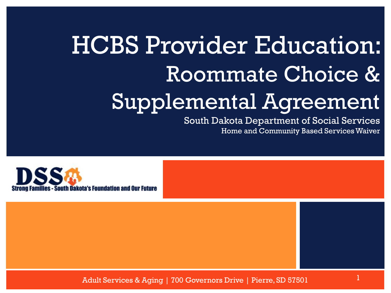### HCBS Provider Education: Roommate Choice & Supplemental Agreement

South Dakota Department of Social Services Home and Community Based Services Waiver



Adult Services & Aging | 700 Governors Drive | Pierre, SD 57501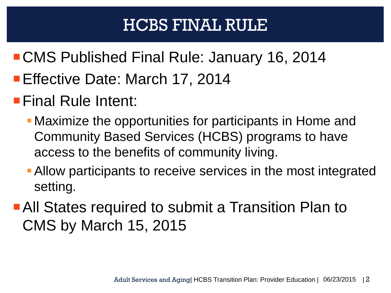### HCBS FINAL RULE

- CMS Published Final Rule: January 16, 2014
- Effective Date: March 17, 2014
- **Final Rule Intent:** 
	- Maximize the opportunities for participants in Home and Community Based Services (HCBS) programs to have access to the benefits of community living.
	- Allow participants to receive services in the most integrated setting.
- **All States required to submit a Transition Plan to** CMS by March 15, 2015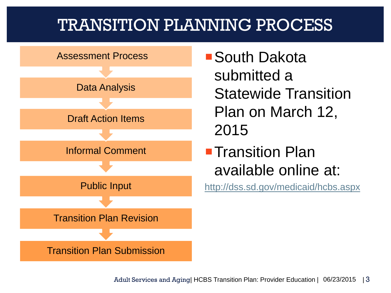### TRANSITION PLANNING PROCESS



South Dakota submitted a Statewide Transition Plan on March 12, 2015

**Transition Plan** available online at:

<http://dss.sd.gov/medicaid/hcbs.aspx>

Adult Services and Aging | HCBS Transition Plan: Provider Education | 06/23/2015 | 3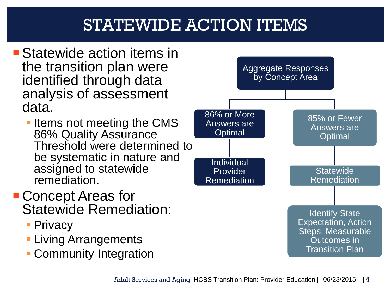### STATEWIDE ACTION ITEMS

- **Statewide action items in** the transition plan were identified through data analysis of assessment data.
	- **Items not meeting the CMS** 86% Quality Assurance Threshold were determined to be systematic in nature and assigned to statewide remediation.
- Concept Areas for Statewide Remediation:
	- **Privacy**
	- **Living Arrangements**
	- **Community Integration**

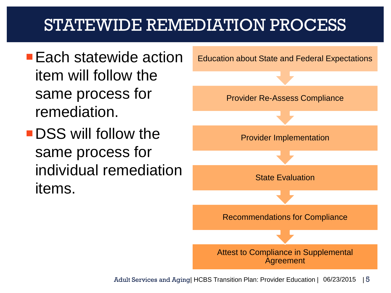### STATEWIDE REMEDIATION PROCESS

- **Each statewide action** item will follow the same process for remediation.
- **DSS** will follow the same process for individual remediation items.

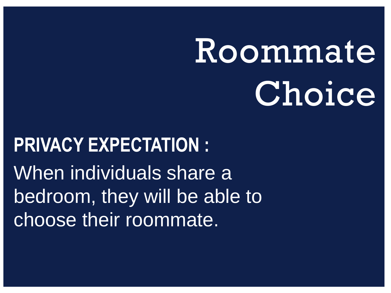### Roommate Choice

### **PRIVACY EXPECTATION :** When individuals share a bedroom, they will be able to choose their roommate.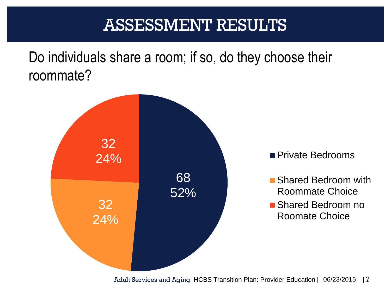### ASSESSMENT RESULTS

Do individuals share a room; if so, do they choose their roommate?



- Shared Bedroom with Roommate Choice
- Shared Bedroom no Roomate Choice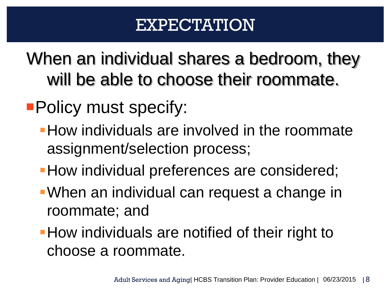### EXPECTATION

When an individual shares a bedroom, they will be able to choose their roommate.

- **Policy must specify:** 
	- **How individuals are involved in the roommate** assignment/selection process;
	- How individual preferences are considered;
	- When an individual can request a change in roommate; and
	- **How individuals are notified of their right to** choose a roommate.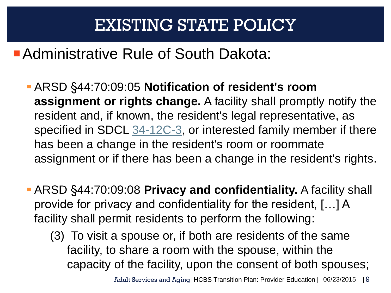#### **Administrative Rule of South Dakota:**

- ARSD §44:70:09:05 **Notification of resident's room assignment or rights change.** A facility shall promptly notify the resident and, if known, the resident's legal representative, as specified in SDCL [34-12C-3](http://legis.sd.gov/statutes/DisplayStatute.aspx?Type=Statute&Statute=34-12C-3), or interested family member if there has been a change in the resident's room or roommate assignment or if there has been a change in the resident's rights.
- ARSD §44:70:09:08 **Privacy and confidentiality.** A facility shall provide for privacy and confidentiality for the resident, […] A facility shall permit residents to perform the following:
	- (3) To visit a spouse or, if both are residents of the same facility, to share a room with the spouse, within the capacity of the facility, upon the consent of both spouses;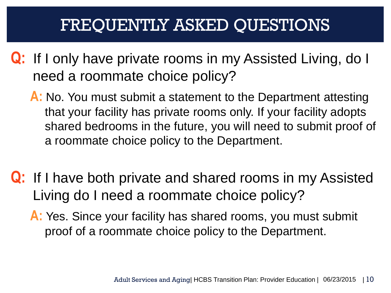### FREQUENTLY ASKED QUESTIONS

- **Q:** If I only have private rooms in my Assisted Living, do I need a roommate choice policy?
	- **A:** No. You must submit a statement to the Department attesting that your facility has private rooms only. If your facility adopts shared bedrooms in the future, you will need to submit proof of a roommate choice policy to the Department.
- **Q:** If I have both private and shared rooms in my Assisted Living do I need a roommate choice policy?

**A:** Yes. Since your facility has shared rooms, you must submit proof of a roommate choice policy to the Department.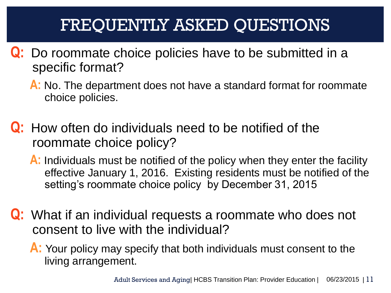### FREQUENTLY ASKED QUESTIONS

- **Q:** Do roommate choice policies have to be submitted in a specific format?
	- **A:** No. The department does not have a standard format for roommate choice policies.
- **Q:** How often do individuals need to be notified of the roommate choice policy?
	- **A:** Individuals must be notified of the policy when they enter the facility effective January 1, 2016. Existing residents must be notified of the setting's roommate choice policy by December 31, 2015
- **Q:** What if an individual requests a roommate who does not consent to live with the individual?
	- **A:** Your policy may specify that both individuals must consent to the living arrangement.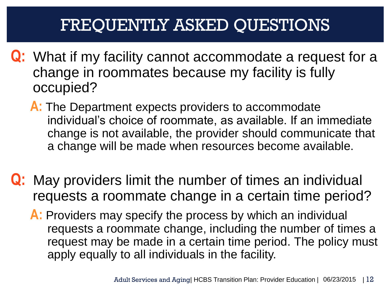### FREQUENTLY ASKED QUESTIONS

- **Q:** What if my facility cannot accommodate a request for a change in roommates because my facility is fully occupied?
	- **A:** The Department expects providers to accommodate individual's choice of roommate, as available. If an immediate change is not available, the provider should communicate that a change will be made when resources become available.
- **Q:** May providers limit the number of times an individual requests a roommate change in a certain time period?
	- **A:** Providers may specify the process by which an individual requests a roommate change, including the number of times a request may be made in a certain time period. The policy must apply equally to all individuals in the facility.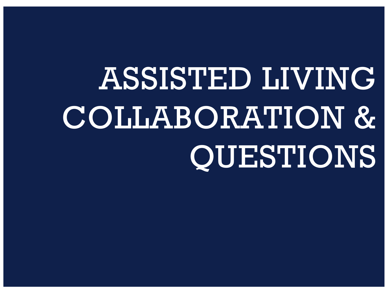## ASSISTED LIVING COLLABORATION & QUESTIONS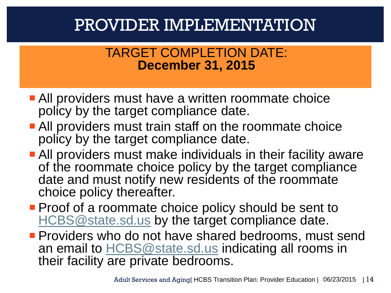### PROVIDER IMPLEMENTATION

#### TARGET COMPLETION DATE: **December 31, 2015**

- **All providers must have a written roommate choice** policy by the target compliance date.
- **All providers must train staff on the roommate choice** policy by the target compliance date.
- **All providers must make individuals in their facility aware** of the roommate choice policy by the target compliance date and must notify new residents of the roommate choice policy thereafter.
- **Proof of a roommate choice policy should be sent to** [HCBS@state.sd.us](mailto:HCBS@state.sd.us) by the target compliance date.
- **Providers who do not have shared bedrooms, must send** an email to [HCBS@state.sd.us](mailto:HCBS@state.sd.us) indicating all rooms in their facility are private bedrooms.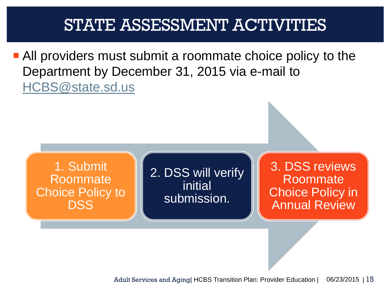### STATE ASSESSMENT ACTIVITIES

**All providers must submit a roommate choice policy to the** Department by December 31, 2015 via e-mail to [HCBS@state.sd.us](mailto:HCBS@state.sd.us)

1. Submit Roommate Choice Policy to DSS

2. DSS will verify initial submission.

3. DSS reviews Roommate Choice Policy in Annual Review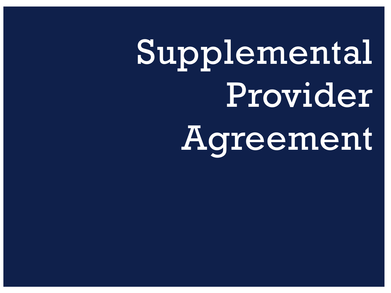# Supplemental Provider Agreement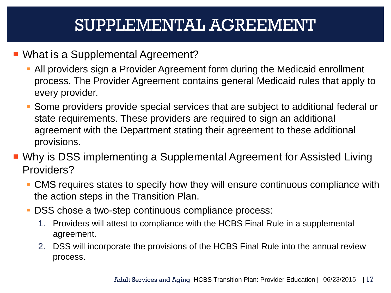### SUPPLEMENTAL AGREEMENT

- What is a Supplemental Agreement?
	- All providers sign a Provider Agreement form during the Medicaid enrollment process. The Provider Agreement contains general Medicaid rules that apply to every provider.
	- Some providers provide special services that are subject to additional federal or state requirements. These providers are required to sign an additional agreement with the Department stating their agreement to these additional provisions.
- Why is DSS implementing a Supplemental Agreement for Assisted Living Providers?
	- CMS requires states to specify how they will ensure continuous compliance with the action steps in the Transition Plan.
	- **DSS** chose a two-step continuous compliance process:
		- 1. Providers will attest to compliance with the HCBS Final Rule in a supplemental agreement.
		- 2. DSS will incorporate the provisions of the HCBS Final Rule into the annual review process.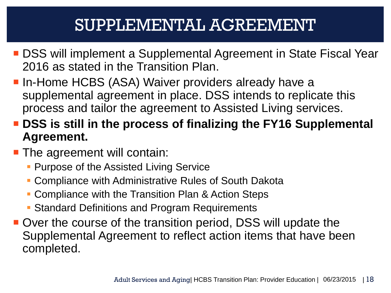### SUPPLEMENTAL AGREEMENT

- DSS will implement a Supplemental Agreement in State Fiscal Year 2016 as stated in the Transition Plan.
- **In-Home HCBS (ASA) Waiver providers already have a** supplemental agreement in place. DSS intends to replicate this process and tailor the agreement to Assisted Living services.
- **DSS is still in the process of finalizing the FY16 Supplemental Agreement.**
- **The agreement will contain:** 
	- **Purpose of the Assisted Living Service**
	- Compliance with Administrative Rules of South Dakota
	- **Compliance with the Transition Plan & Action Steps**
	- Standard Definitions and Program Requirements
- **Over the course of the transition period, DSS will update the** Supplemental Agreement to reflect action items that have been completed.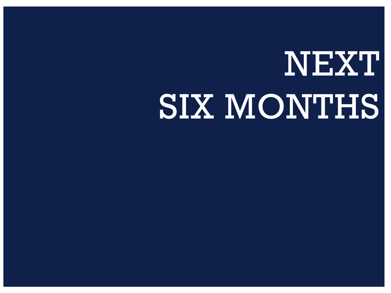## NEXT SIX MONTHS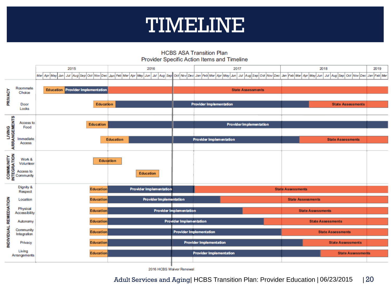### TIMELINE

**HCBS ASA Transition Plan** Provider Specific Action Items and Timeline

|                                     |                          | 2015                                       |                  |                                |  | 2016             |                          |                                | 2017                           |  |  |                                                                                                 |                          | 2018                     |                             |         |
|-------------------------------------|--------------------------|--------------------------------------------|------------------|--------------------------------|--|------------------|--------------------------|--------------------------------|--------------------------------|--|--|-------------------------------------------------------------------------------------------------|--------------------------|--------------------------|-----------------------------|---------|
|                                     |                          | Jul Aug Sep Oct Nov Dec<br>Mar Apr May Jun |                  | Jan Feb Mar Apr May            |  | Jun              |                          |                                |                                |  |  | Jul Aug Sep Oct Nov Dec Jan Feb Mar Apr May Jun Jul Aug Sep Oct Nov Dec Jan Feb Mar Apr May Jun |                          |                          | Jul Aug Sep Oct Nov Dec Jan | Feb Mar |
| PRIVACY                             |                          |                                            |                  |                                |  |                  |                          |                                |                                |  |  |                                                                                                 |                          |                          |                             |         |
|                                     | Roommate<br>Choice       | <b>Education Provider Implementation</b>   |                  |                                |  |                  | <b>State Assessments</b> |                                |                                |  |  |                                                                                                 |                          |                          |                             |         |
|                                     |                          |                                            |                  |                                |  |                  |                          |                                |                                |  |  |                                                                                                 |                          |                          |                             |         |
|                                     | Door<br>Locks            |                                            | <b>Education</b> |                                |  |                  |                          |                                | <b>Provider Implementation</b> |  |  |                                                                                                 |                          |                          | <b>State Assessments</b>    |         |
|                                     |                          |                                            |                  |                                |  |                  |                          |                                |                                |  |  |                                                                                                 |                          |                          |                             |         |
| LIVING<br>ARRANGEMENTS              | Access to<br>Food        |                                            | <b>Education</b> |                                |  |                  |                          |                                |                                |  |  | <b>Provider Implementation</b>                                                                  |                          |                          |                             |         |
|                                     |                          |                                            |                  |                                |  |                  |                          |                                |                                |  |  |                                                                                                 |                          |                          |                             |         |
|                                     | Immediate                |                                            |                  | <b>Education</b>               |  |                  |                          |                                | <b>Provider Implementation</b> |  |  |                                                                                                 |                          |                          | <b>State Assessments</b>    |         |
|                                     | Access                   |                                            |                  |                                |  |                  |                          |                                |                                |  |  |                                                                                                 |                          |                          |                             |         |
| MUNITY<br>MERICATION<br>SECOMMUNITY |                          |                                            |                  |                                |  |                  |                          |                                |                                |  |  |                                                                                                 |                          |                          |                             |         |
|                                     |                          | <b>Education</b>                           |                  |                                |  |                  |                          |                                |                                |  |  |                                                                                                 |                          |                          |                             |         |
|                                     |                          |                                            |                  |                                |  | <b>Education</b> |                          |                                |                                |  |  |                                                                                                 |                          |                          |                             |         |
|                                     |                          |                                            |                  |                                |  |                  |                          |                                |                                |  |  |                                                                                                 |                          |                          |                             |         |
|                                     | Dignity &                |                                            |                  |                                |  |                  |                          |                                |                                |  |  | <b>State Assessments</b>                                                                        |                          |                          |                             |         |
| INDIVIDUAL REMEDIATION              | Respect                  | <b>Education</b><br><b>Education</b>       |                  | <b>Provider Implementation</b> |  |                  |                          |                                |                                |  |  |                                                                                                 |                          |                          |                             |         |
|                                     | Location                 |                                            |                  | <b>Provider Implementation</b> |  |                  |                          |                                |                                |  |  |                                                                                                 | <b>State Assessments</b> |                          |                             |         |
|                                     | Physical                 |                                            | <b>Education</b> |                                |  |                  |                          | <b>Provider Implementation</b> |                                |  |  |                                                                                                 |                          |                          | <b>State Assessments</b>    |         |
|                                     | Accessibility            |                                            |                  |                                |  |                  |                          |                                |                                |  |  |                                                                                                 |                          |                          |                             |         |
|                                     | Autonomy                 |                                            | <b>Education</b> |                                |  |                  |                          | <b>Provider Implementation</b> |                                |  |  |                                                                                                 |                          | <b>State Assessments</b> |                             |         |
|                                     | Community<br>Integration |                                            | <b>Education</b> |                                |  |                  |                          | <b>Provider Implementation</b> |                                |  |  |                                                                                                 | <b>State Assessments</b> |                          |                             |         |
|                                     | Privacy                  |                                            |                  |                                |  |                  |                          |                                |                                |  |  |                                                                                                 |                          |                          | <b>State Assessments</b>    |         |
|                                     |                          | <b>Education</b>                           |                  |                                |  |                  |                          |                                | <b>Provider Implementation</b> |  |  |                                                                                                 |                          |                          |                             |         |
|                                     | Living<br>Arrangements   | <b>Education</b>                           |                  |                                |  |                  |                          | <b>Provider Implementation</b> |                                |  |  | <b>State Assessments</b>                                                                        |                          |                          |                             |         |
|                                     |                          |                                            |                  |                                |  |                  |                          |                                |                                |  |  |                                                                                                 |                          |                          |                             |         |

2016 HCBS Waiver Renewal

Adult Services and Aging| HCBS Transition Plan: Provider Education | 06/23/2015 | 20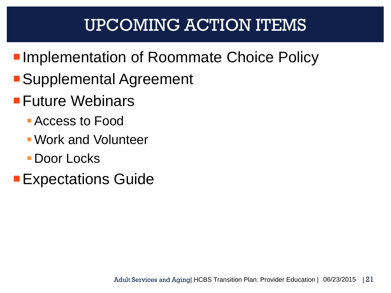### UPCOMING ACTION ITEMS

- **Implementation of Roommate Choice Policy**
- ■Supplemental Agreement
- **Future Webinars** 
	- Access to Food
	- Work and Volunteer
	- **Door Locks**
- **Expectations Guide**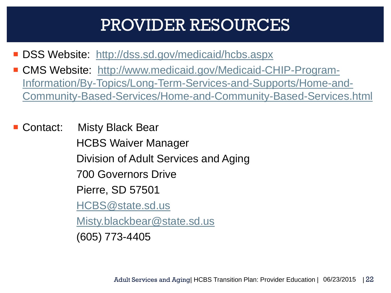### PROVIDER RESOURCES

- DSS Website: <http://dss.sd.gov/medicaid/hcbs.aspx>
- CMS Website: [http://www.medicaid.gov/Medicaid-CHIP-Program-](http://www.medicaid.gov/Medicaid-CHIP-Program-Information/By-Topics/Long-Term-Services-and-Supports/Home-and-Community-Based-Services/Home-and-Community-Based-Services.html)[Information/By-Topics/Long-Term-Services-and-Supports/Home-and-](http://www.medicaid.gov/Medicaid-CHIP-Program-Information/By-Topics/Long-Term-Services-and-Supports/Home-and-Community-Based-Services/Home-and-Community-Based-Services.html)[Community-Based-Services/Home-and-Community-Based-Services.html](http://www.medicaid.gov/Medicaid-CHIP-Program-Information/By-Topics/Long-Term-Services-and-Supports/Home-and-Community-Based-Services/Home-and-Community-Based-Services.html)
- Contact: Misty Black Bear HCBS Waiver Manager Division of Adult Services and Aging 700 Governors Drive Pierre, SD 57501 [HCBS@state.sd.us](mailto:HCBS@state.sd.us) [Misty.blackbear@state.sd.us](mailto:Misty.blackbear@state.sd.us)

(605) 773-4405